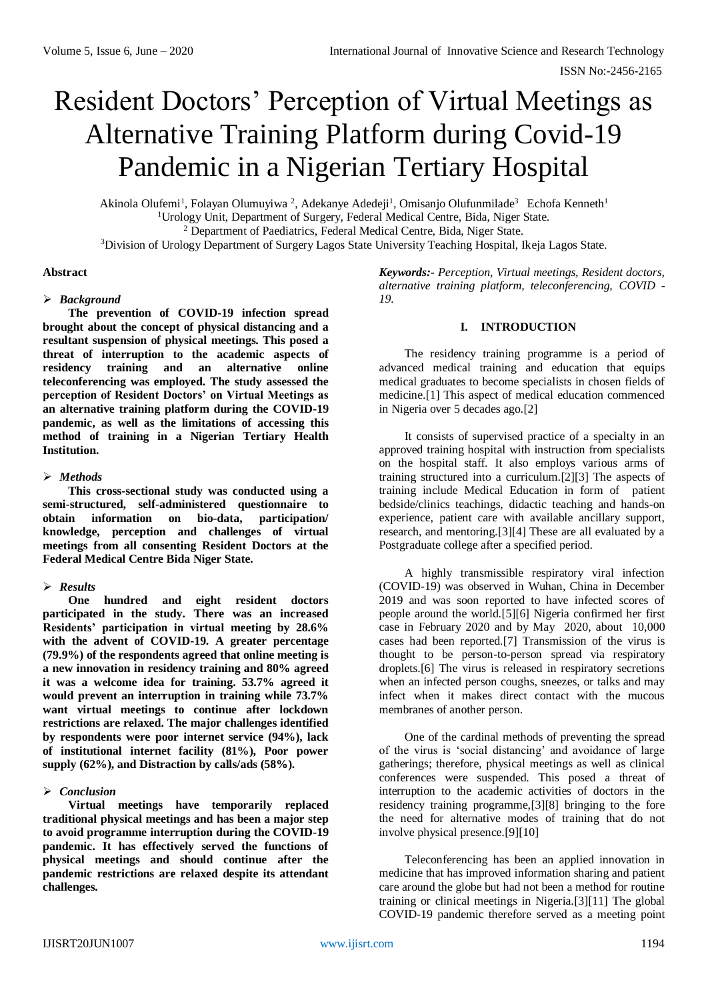# Resident Doctors' Perception of Virtual Meetings as Alternative Training Platform during Covid-19 Pandemic in a Nigerian Tertiary Hospital

Akinola Olufemi<sup>1</sup>, Folayan Olumuyiwa<sup>2</sup>, Adekanye Adedeji<sup>1</sup>, Omisanjo Olufunmilade<sup>3</sup> Echofa Kenneth<sup>1</sup> <sup>1</sup>Urology Unit, Department of Surgery, Federal Medical Centre, Bida, Niger State. <sup>2</sup> Department of Paediatrics, Federal Medical Centre, Bida, Niger State.

<sup>3</sup>Division of Urology Department of Surgery Lagos State University Teaching Hospital, Ikeja Lagos State.

# **Abstract**

## *Background*

**The prevention of COVID-19 infection spread brought about the concept of physical distancing and a resultant suspension of physical meetings. This posed a threat of interruption to the academic aspects of residency training and an alternative online teleconferencing was employed. The study assessed the perception of Resident Doctors' on Virtual Meetings as an alternative training platform during the COVID-19 pandemic, as well as the limitations of accessing this method of training in a Nigerian Tertiary Health Institution.**

## *Methods*

**This cross-sectional study was conducted using a semi-structured, self-administered questionnaire to obtain information on bio-data, participation/ knowledge, perception and challenges of virtual meetings from all consenting Resident Doctors at the Federal Medical Centre Bida Niger State.**

# *Results*

**One hundred and eight resident doctors participated in the study. There was an increased Residents' participation in virtual meeting by 28.6% with the advent of COVID-19. A greater percentage (79.9%) of the respondents agreed that online meeting is a new innovation in residency training and 80% agreed it was a welcome idea for training. 53.7% agreed it would prevent an interruption in training while 73.7% want virtual meetings to continue after lockdown restrictions are relaxed. The major challenges identified by respondents were poor internet service (94%), lack of institutional internet facility (81%), Poor power supply (62%), and Distraction by calls/ads (58%).** 

# *Conclusion*

**Virtual meetings have temporarily replaced traditional physical meetings and has been a major step to avoid programme interruption during the COVID-19 pandemic. It has effectively served the functions of physical meetings and should continue after the pandemic restrictions are relaxed despite its attendant challenges.**

*Keywords:- Perception, Virtual meetings, Resident doctors, alternative training platform, teleconferencing, COVID - 19.*

# **I. INTRODUCTION**

The residency training programme is a period of advanced medical training and education that equips medical graduates to become specialists in chosen fields of medicine.[1] This aspect of medical education commenced in Nigeria over 5 decades ago.[2]

It consists of supervised practice of a specialty in an approved training hospital with instruction from specialists on the hospital staff. It also employs various arms of training structured into a curriculum.[2][3] The aspects of training include Medical Education in form of patient bedside/clinics teachings, didactic teaching and hands-on experience, patient care with available ancillary support, research, and mentoring.[3][4] These are all evaluated by a Postgraduate college after a specified period.

A highly transmissible respiratory viral infection (COVID-19) was observed in Wuhan, China in December 2019 and was soon reported to have infected scores of people around the world.[5][6] Nigeria confirmed her first case in February 2020 and by May 2020, about 10,000 cases had been reported.[7] Transmission of the virus is thought to be person-to-person spread via respiratory droplets.[6] The virus is released in respiratory secretions when an infected person coughs, sneezes, or talks and may infect when it makes direct contact with the mucous membranes of another person.

One of the cardinal methods of preventing the spread of the virus is 'social distancing' and avoidance of large gatherings; therefore, physical meetings as well as clinical conferences were suspended. This posed a threat of interruption to the academic activities of doctors in the residency training programme,[3][8] bringing to the fore the need for alternative modes of training that do not involve physical presence.[9][10]

Teleconferencing has been an applied innovation in medicine that has improved information sharing and patient care around the globe but had not been a method for routine training or clinical meetings in Nigeria.[3][11] The global COVID-19 pandemic therefore served as a meeting point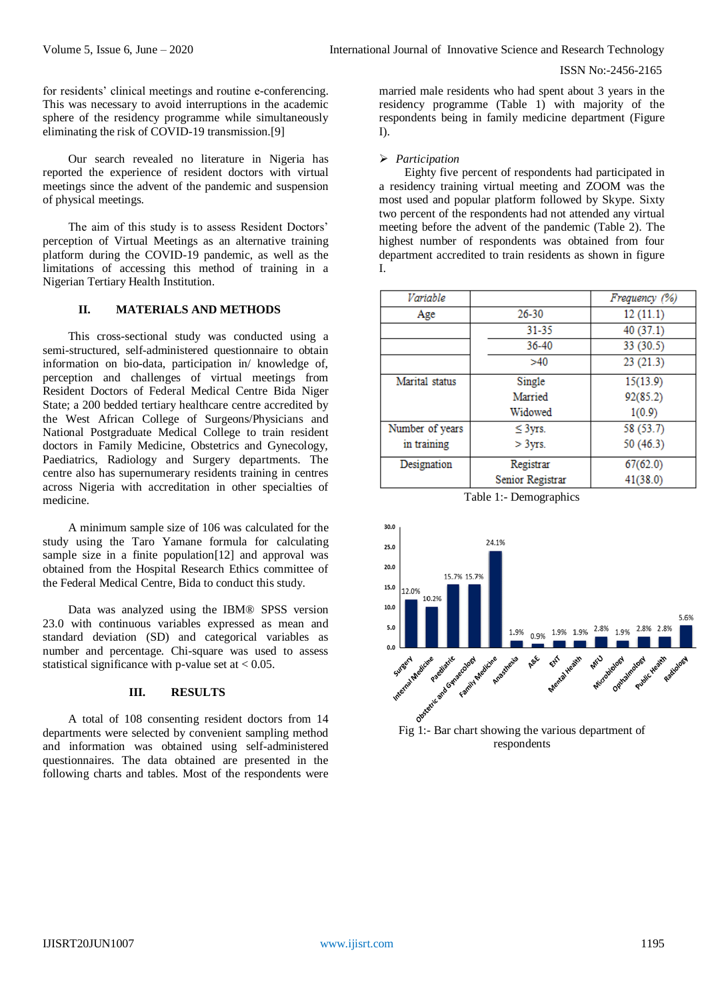for residents' clinical meetings and routine e-conferencing. This was necessary to avoid interruptions in the academic sphere of the residency programme while simultaneously eliminating the risk of COVID-19 transmission.[9]

Our search revealed no literature in Nigeria has reported the experience of resident doctors with virtual meetings since the advent of the pandemic and suspension of physical meetings.

The aim of this study is to assess Resident Doctors' perception of Virtual Meetings as an alternative training platform during the COVID-19 pandemic, as well as the limitations of accessing this method of training in a Nigerian Tertiary Health Institution.

# **II. MATERIALS AND METHODS**

This cross-sectional study was conducted using a semi-structured, self-administered questionnaire to obtain information on bio-data, participation in/ knowledge of, perception and challenges of virtual meetings from Resident Doctors of Federal Medical Centre Bida Niger State; a 200 bedded tertiary healthcare centre accredited by the West African College of Surgeons/Physicians and National Postgraduate Medical College to train resident doctors in Family Medicine, Obstetrics and Gynecology, Paediatrics, Radiology and Surgery departments. The centre also has supernumerary residents training in centres across Nigeria with accreditation in other specialties of medicine.

A minimum sample size of 106 was calculated for the study using the Taro Yamane formula for calculating sample size in a finite population<sup>[12]</sup> and approval was obtained from the Hospital Research Ethics committee of the Federal Medical Centre, Bida to conduct this study.

Data was analyzed using the IBM® SPSS version 23.0 with continuous variables expressed as mean and standard deviation (SD) and categorical variables as number and percentage. Chi-square was used to assess statistical significance with p-value set at  $< 0.05$ .

## **III. RESULTS**

A total of 108 consenting resident doctors from 14 departments were selected by convenient sampling method and information was obtained using self-administered questionnaires. The data obtained are presented in the following charts and tables. Most of the respondents were

married male residents who had spent about 3 years in the residency programme (Table 1) with majority of the respondents being in family medicine department (Figure I).

#### *Participation*

Eighty five percent of respondents had participated in a residency training virtual meeting and ZOOM was the most used and popular platform followed by Skype. Sixty two percent of the respondents had not attended any virtual meeting before the advent of the pandemic (Table 2). The highest number of respondents was obtained from four department accredited to train residents as shown in figure I.

| Variable        |                  | Frequency (%) |
|-----------------|------------------|---------------|
| Age             | $26 - 30$        | 12(11.1)      |
|                 | $31 - 35$        | 40 (37.1)     |
|                 | 36-40            | 33 (30.5)     |
|                 | >40              | 23(21.3)      |
| Marital status  | Single           | 15(13.9)      |
|                 | Married          | 92(85.2)      |
|                 | Widowed          | 1(0.9)        |
| Number of years | $\leq$ 3yrs.     | 58 (53.7)     |
| in training     | $>$ 3 yrs.       | 50 (46.3)     |
| Designation     | Registrar        | 67(62.0)      |
|                 | Senior Registrar | 41(38.0)      |

Table 1:- Demographics

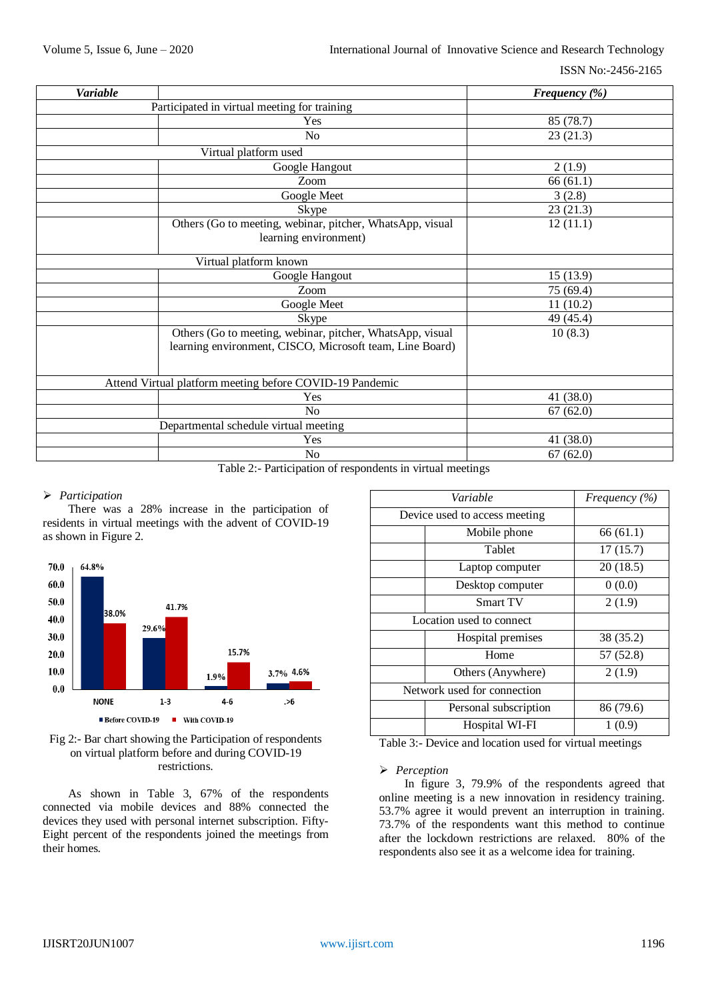| <b>Variable</b>                              |                                                                                                                       | Frequency (%) |  |  |
|----------------------------------------------|-----------------------------------------------------------------------------------------------------------------------|---------------|--|--|
| Participated in virtual meeting for training |                                                                                                                       |               |  |  |
|                                              | Yes                                                                                                                   | 85 (78.7)     |  |  |
|                                              | N <sub>o</sub>                                                                                                        | 23(21.3)      |  |  |
|                                              | Virtual platform used                                                                                                 |               |  |  |
|                                              | Google Hangout                                                                                                        | 2(1.9)        |  |  |
|                                              | Zoom                                                                                                                  | 66(61.1)      |  |  |
|                                              | Google Meet                                                                                                           | 3(2.8)        |  |  |
|                                              | Skype                                                                                                                 | 23(21.3)      |  |  |
|                                              | Others (Go to meeting, webinar, pitcher, WhatsApp, visual<br>learning environment)                                    | 12(11.1)      |  |  |
|                                              | Virtual platform known                                                                                                |               |  |  |
|                                              | Google Hangout                                                                                                        | 15(13.9)      |  |  |
|                                              | Zoom                                                                                                                  | 75 (69.4)     |  |  |
|                                              | Google Meet                                                                                                           | 11(10.2)      |  |  |
|                                              | Skype                                                                                                                 | 49 (45.4)     |  |  |
|                                              | Others (Go to meeting, webinar, pitcher, WhatsApp, visual<br>learning environment, CISCO, Microsoft team, Line Board) | 10(8.3)       |  |  |
|                                              | Attend Virtual platform meeting before COVID-19 Pandemic                                                              |               |  |  |
|                                              | Yes                                                                                                                   | 41 (38.0)     |  |  |
|                                              | N <sub>o</sub>                                                                                                        | 67(62.0)      |  |  |
|                                              | Departmental schedule virtual meeting                                                                                 |               |  |  |
|                                              | Yes                                                                                                                   | 41 (38.0)     |  |  |
|                                              | No                                                                                                                    | 67(62.0)      |  |  |

Table 2:- Participation of respondents in virtual meetings

# *Participation*

There was a 28% increase in the participation of residents in virtual meetings with the advent of COVID-19 as shown in Figure 2.



# Fig 2:- Bar chart showing the Participation of respondents on virtual platform before and during COVID-19 restrictions.

As shown in Table 3, 67% of the respondents connected via mobile devices and 88% connected the devices they used with personal internet subscription. Fifty-Eight percent of the respondents joined the meetings from their homes.

| Variable                    |                               | Frequency (%) |
|-----------------------------|-------------------------------|---------------|
|                             | Device used to access meeting |               |
|                             | Mobile phone                  | 66(61.1)      |
|                             | Tablet                        | 17(15.7)      |
|                             | Laptop computer               | 20(18.5)      |
|                             | Desktop computer              | 0(0.0)        |
|                             | <b>Smart TV</b>               | 2(1.9)        |
|                             | Location used to connect      |               |
|                             | Hospital premises             | 38 (35.2)     |
|                             | Home                          | 57 (52.8)     |
|                             | Others (Anywhere)             | 2(1.9)        |
| Network used for connection |                               |               |
|                             | Personal subscription         | 86 (79.6)     |
|                             | Hospital WI-FI                | 1 (0.9)       |

Table 3:- Device and location used for virtual meetings

#### *Perception*

In figure 3, 79.9% of the respondents agreed that online meeting is a new innovation in residency training. 53.7% agree it would prevent an interruption in training. 73.7% of the respondents want this method to continue after the lockdown restrictions are relaxed. 80% of the respondents also see it as a welcome idea for training.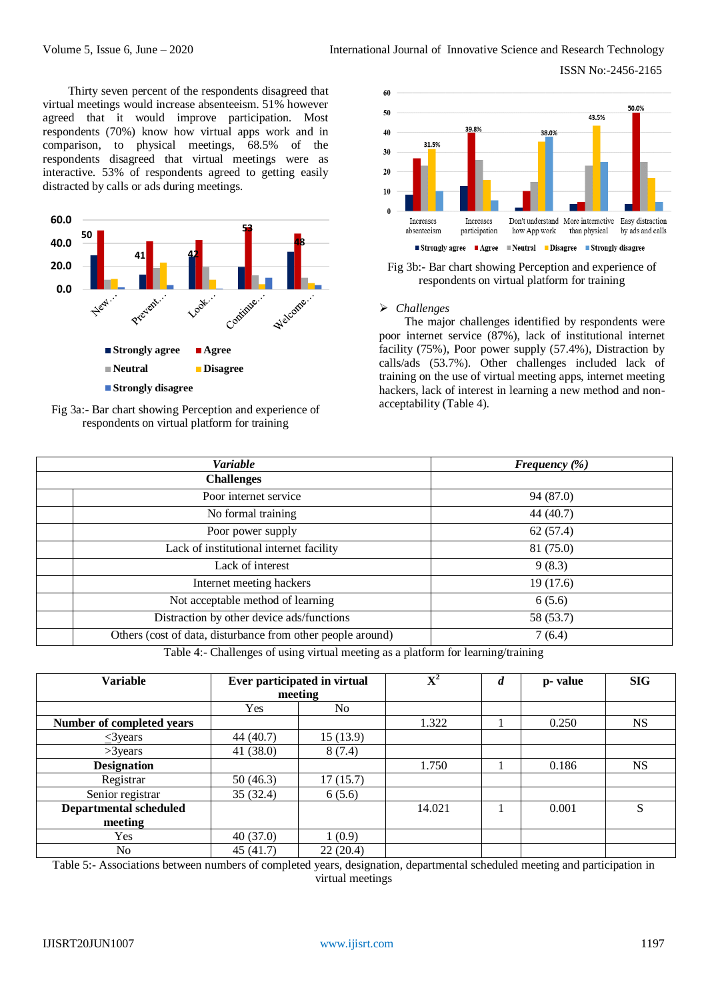Thirty seven percent of the respondents disagreed that virtual meetings would increase absenteeism. 51% however agreed that it would improve participation. Most respondents (70%) know how virtual apps work and in comparison, to physical meetings, 68.5% of the respondents disagreed that virtual meetings were as interactive. 53% of respondents agreed to getting easily distracted by calls or ads during meetings.







Fig 3b:- Bar chart showing Perception and experience of respondents on virtual platform for training

## *Challenges*

The major challenges identified by respondents were poor internet service (87%), lack of institutional internet facility (75%), Poor power supply (57.4%), Distraction by calls/ads (53.7%). Other challenges included lack of training on the use of virtual meeting apps, internet meeting hackers, lack of interest in learning a new method and nonacceptability (Table 4).

| <b>Variable</b> |                                                             | Frequency $(\%)$ |  |  |
|-----------------|-------------------------------------------------------------|------------------|--|--|
|                 | <b>Challenges</b>                                           |                  |  |  |
|                 | Poor internet service                                       | 94 (87.0)        |  |  |
|                 | No formal training                                          | 44 (40.7)        |  |  |
|                 | Poor power supply                                           | 62(57.4)         |  |  |
|                 | Lack of institutional internet facility                     | 81 (75.0)        |  |  |
|                 | Lack of interest                                            | 9(8.3)           |  |  |
|                 | Internet meeting hackers                                    | 19(17.6)         |  |  |
|                 | Not acceptable method of learning                           | 6(5.6)           |  |  |
|                 | Distraction by other device ads/functions                   | 58 (53.7)        |  |  |
|                 | Others (cost of data, disturbance from other people around) | 7(6.4)           |  |  |

Table 4:- Challenges of using virtual meeting as a platform for learning/training

| <b>Variable</b>               | Ever participated in virtual |          | ${\bf X}^2$ | d | p-value | <b>SIG</b> |
|-------------------------------|------------------------------|----------|-------------|---|---------|------------|
|                               | meeting                      |          |             |   |         |            |
|                               | Yes                          | No       |             |   |         |            |
| Number of completed years     |                              |          | 1.322       |   | 0.250   | <b>NS</b>  |
| $\leq$ 3 years                | 44 (40.7)                    | 15(13.9) |             |   |         |            |
| $>3$ years                    | 41 $(38.0)$                  | 8(7.4)   |             |   |         |            |
| <b>Designation</b>            |                              |          | 1.750       |   | 0.186   | <b>NS</b>  |
| Registrar                     | 50(46.3)                     | 17(15.7) |             |   |         |            |
| Senior registrar              | 35(32.4)                     | 6(5.6)   |             |   |         |            |
| <b>Departmental scheduled</b> |                              |          | 14.021      |   | 0.001   | S          |
| meeting                       |                              |          |             |   |         |            |
| Yes                           | 40(37.0)                     | 1(0.9)   |             |   |         |            |
| No                            | 45(41.7)                     | 22(20.4) |             |   |         |            |

Table 5:- Associations between numbers of completed years, designation, departmental scheduled meeting and participation in virtual meetings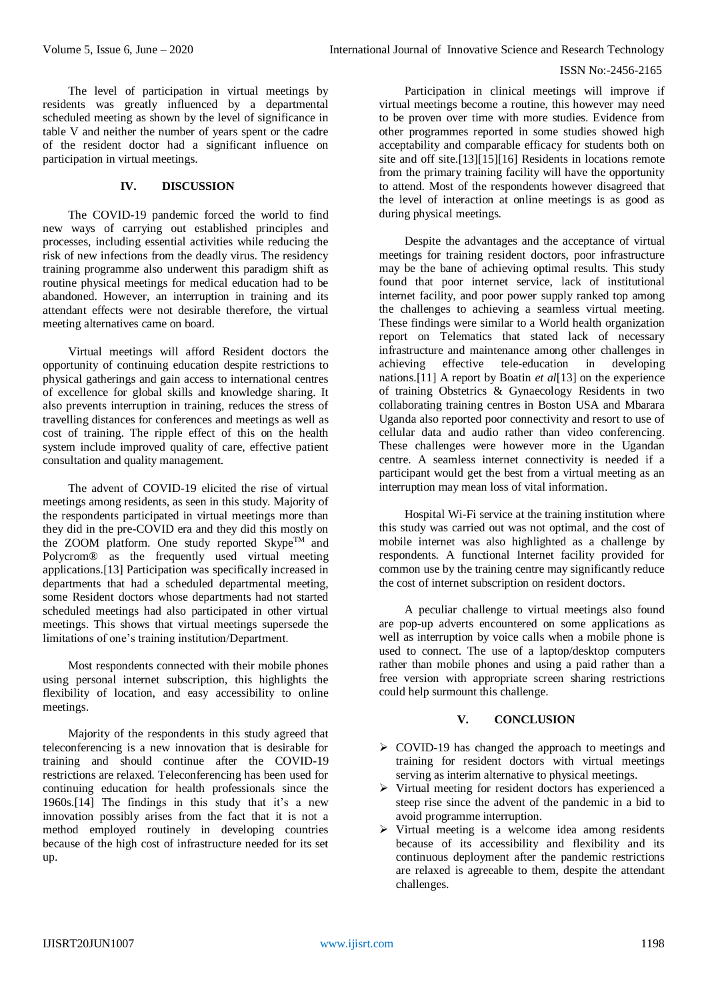The level of participation in virtual meetings by residents was greatly influenced by a departmental scheduled meeting as shown by the level of significance in table V and neither the number of years spent or the cadre of the resident doctor had a significant influence on participation in virtual meetings.

# **IV. DISCUSSION**

The COVID-19 pandemic forced the world to find new ways of carrying out established principles and processes, including essential activities while reducing the risk of new infections from the deadly virus. The residency training programme also underwent this paradigm shift as routine physical meetings for medical education had to be abandoned. However, an interruption in training and its attendant effects were not desirable therefore, the virtual meeting alternatives came on board.

Virtual meetings will afford Resident doctors the opportunity of continuing education despite restrictions to physical gatherings and gain access to international centres of excellence for global skills and knowledge sharing. It also prevents interruption in training, reduces the stress of travelling distances for conferences and meetings as well as cost of training. The ripple effect of this on the health system include improved quality of care, effective patient consultation and quality management.

The advent of COVID-19 elicited the rise of virtual meetings among residents, as seen in this study. Majority of the respondents participated in virtual meetings more than they did in the pre-COVID era and they did this mostly on the ZOOM platform. One study reported  $\text{Skype}^{\text{TM}}$  and Polycrom® as the frequently used virtual meeting applications.[13] Participation was specifically increased in departments that had a scheduled departmental meeting, some Resident doctors whose departments had not started scheduled meetings had also participated in other virtual meetings. This shows that virtual meetings supersede the limitations of one's training institution/Department.

Most respondents connected with their mobile phones using personal internet subscription, this highlights the flexibility of location, and easy accessibility to online meetings.

Majority of the respondents in this study agreed that teleconferencing is a new innovation that is desirable for training and should continue after the COVID-19 restrictions are relaxed. Teleconferencing has been used for continuing education for health professionals since the 1960s.[14] The findings in this study that it's a new innovation possibly arises from the fact that it is not a method employed routinely in developing countries because of the high cost of infrastructure needed for its set up.

Participation in clinical meetings will improve if virtual meetings become a routine, this however may need to be proven over time with more studies. Evidence from other programmes reported in some studies showed high acceptability and comparable efficacy for students both on site and off site.[13][15][16] Residents in locations remote from the primary training facility will have the opportunity to attend. Most of the respondents however disagreed that the level of interaction at online meetings is as good as during physical meetings.

Despite the advantages and the acceptance of virtual meetings for training resident doctors, poor infrastructure may be the bane of achieving optimal results. This study found that poor internet service, lack of institutional internet facility, and poor power supply ranked top among the challenges to achieving a seamless virtual meeting. These findings were similar to a World health organization report on Telematics that stated lack of necessary infrastructure and maintenance among other challenges in achieving effective tele-education in developing nations.[11] A report by Boatin *et al*[13] on the experience of training Obstetrics & Gynaecology Residents in two collaborating training centres in Boston USA and Mbarara Uganda also reported poor connectivity and resort to use of cellular data and audio rather than video conferencing. These challenges were however more in the Ugandan centre. A seamless internet connectivity is needed if a participant would get the best from a virtual meeting as an interruption may mean loss of vital information.

Hospital Wi-Fi service at the training institution where this study was carried out was not optimal, and the cost of mobile internet was also highlighted as a challenge by respondents. A functional Internet facility provided for common use by the training centre may significantly reduce the cost of internet subscription on resident doctors.

A peculiar challenge to virtual meetings also found are pop-up adverts encountered on some applications as well as interruption by voice calls when a mobile phone is used to connect. The use of a laptop/desktop computers rather than mobile phones and using a paid rather than a free version with appropriate screen sharing restrictions could help surmount this challenge.

#### **V. CONCLUSION**

- $\triangleright$  COVID-19 has changed the approach to meetings and training for resident doctors with virtual meetings serving as interim alternative to physical meetings.
- Virtual meeting for resident doctors has experienced a steep rise since the advent of the pandemic in a bid to avoid programme interruption.
- $\triangleright$  Virtual meeting is a welcome idea among residents because of its accessibility and flexibility and its continuous deployment after the pandemic restrictions are relaxed is agreeable to them, despite the attendant challenges.